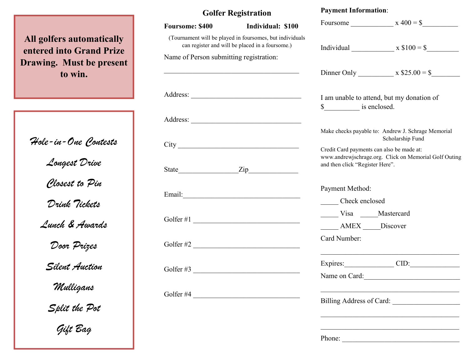## All golfers automatically entered into Grand Prize Drawing. Must be present to win.

Hole-in-One Contests Longest Drive Closest to Pin Drink Tickets Lunch & Awards Door Prizes Silent Auction Mulligans Split the Pot Gift Bag

## Golfer Registration

| <b>Foursome: \$400</b>                                                                                                              | Individual: \$100 |                                                                                                    | Foursome $x 400 =$ \$   |
|-------------------------------------------------------------------------------------------------------------------------------------|-------------------|----------------------------------------------------------------------------------------------------|-------------------------|
| (Tournament will be played in foursomes, but individuals<br>can register and will be placed in a foursome.)                         |                   |                                                                                                    | Individual $x $100 = $$ |
| Name of Person submitting registration:                                                                                             |                   |                                                                                                    |                         |
|                                                                                                                                     |                   |                                                                                                    |                         |
|                                                                                                                                     |                   | I am unable to attend, but my donation of                                                          |                         |
|                                                                                                                                     |                   |                                                                                                    |                         |
|                                                                                                                                     |                   | Make checks payable to: Andrew J. Schrage Memorial<br>Scholarship Fund                             |                         |
|                                                                                                                                     |                   | Credit Card payments can also be made at:<br>www.andrewjschrage.org. Click on Memorial Golf Outing |                         |
|                                                                                                                                     |                   | and then click "Register Here".                                                                    |                         |
|                                                                                                                                     |                   | Payment Method:                                                                                    |                         |
|                                                                                                                                     |                   | Check enclosed                                                                                     |                         |
| Golfer #1                                                                                                                           |                   | Visa Mastercard                                                                                    |                         |
|                                                                                                                                     |                   | AMEX Discover                                                                                      |                         |
|                                                                                                                                     | Golfer #2         | Card Number:                                                                                       |                         |
|                                                                                                                                     |                   |                                                                                                    | Expires: CID:           |
| Golfer #3                                                                                                                           |                   | Name on Card:                                                                                      |                         |
| Golfer #4<br><u> 1980 - Jan James James Jan James James James James James James James James James James James James James James</u> |                   | Billing Address of Card:                                                                           |                         |
|                                                                                                                                     |                   |                                                                                                    |                         |

Payment Information:

Phone: